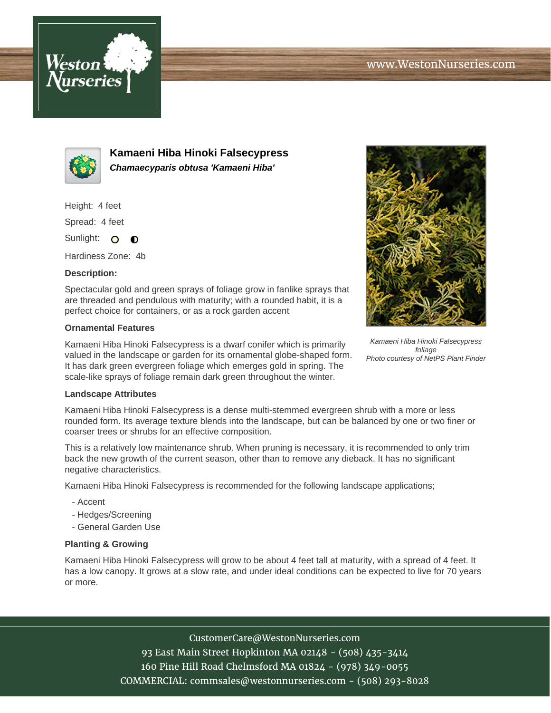



**Kamaeni Hiba Hinoki Falsecypress Chamaecyparis obtusa 'Kamaeni Hiba'**

Height: 4 feet

Spread: 4 feet

Sunlight: O  $\bullet$ 

Hardiness Zone: 4b

## **Description:**

Spectacular gold and green sprays of foliage grow in fanlike sprays that are threaded and pendulous with maturity; with a rounded habit, it is a perfect choice for containers, or as a rock garden accent

## **Ornamental Features**

Kamaeni Hiba Hinoki Falsecypress is a dwarf conifer which is primarily valued in the landscape or garden for its ornamental globe-shaped form. It has dark green evergreen foliage which emerges gold in spring. The scale-like sprays of foliage remain dark green throughout the winter.



Kamaeni Hiba Hinoki Falsecypress foliage Photo courtesy of NetPS Plant Finder

## **Landscape Attributes**

Kamaeni Hiba Hinoki Falsecypress is a dense multi-stemmed evergreen shrub with a more or less rounded form. Its average texture blends into the landscape, but can be balanced by one or two finer or coarser trees or shrubs for an effective composition.

This is a relatively low maintenance shrub. When pruning is necessary, it is recommended to only trim back the new growth of the current season, other than to remove any dieback. It has no significant negative characteristics.

Kamaeni Hiba Hinoki Falsecypress is recommended for the following landscape applications;

- Accent
- Hedges/Screening
- General Garden Use

## **Planting & Growing**

Kamaeni Hiba Hinoki Falsecypress will grow to be about 4 feet tall at maturity, with a spread of 4 feet. It has a low canopy. It grows at a slow rate, and under ideal conditions can be expected to live for 70 years or more.

CustomerCare@WestonNurseries.com

93 East Main Street Hopkinton MA 02148 - (508) 435-3414 160 Pine Hill Road Chelmsford MA 01824 - (978) 349-0055 COMMERCIAL: commsales@westonnurseries.com - (508) 293-8028